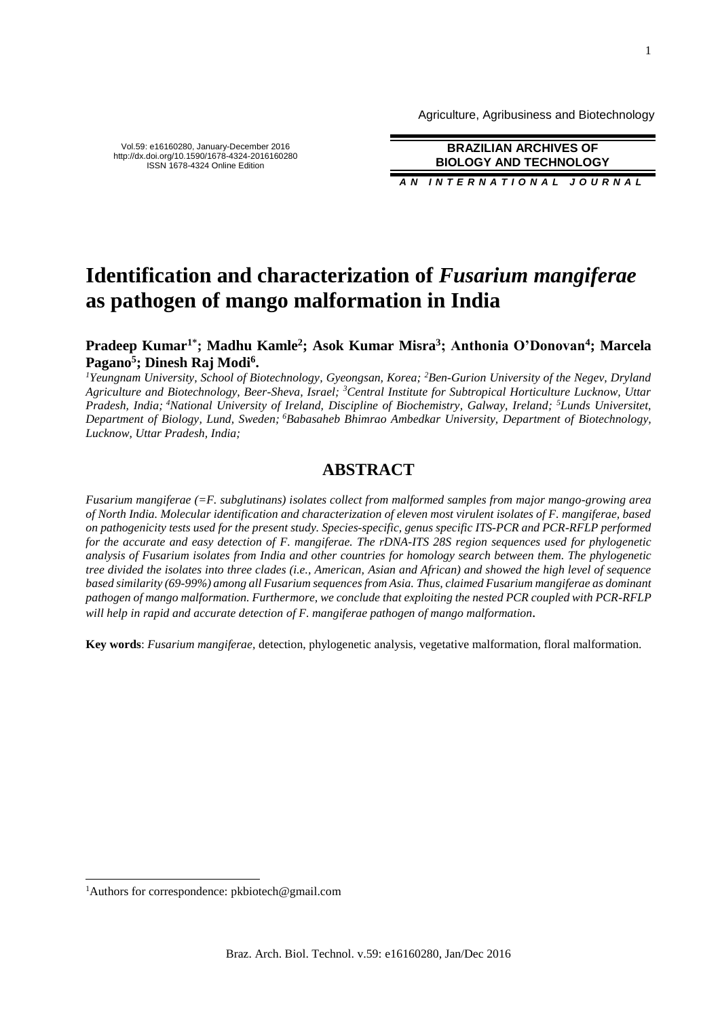Agriculture, Agribusiness and Biotechnology

Vol.59: e16160280, January-December 2016 http://dx.doi.org/10.1590/1678-4324-2016160280 ISSN 1678-4324 Online Edition

**BRAZILIAN ARCHIVES OF BIOLOGY AND TECHNOLOGY** *AN I N T E R N A T I O N A L J O U R N A L*

# **Identification and characterization of** *Fusarium mangiferae* **as pathogen of mango malformation in India**

# **Pradeep Kumar1\* ; Madhu Kamle<sup>2</sup> ; Asok Kumar Misra<sup>3</sup> ; Anthonia O'Donovan<sup>4</sup> ; Marcela Pagano<sup>5</sup> ; Dinesh Raj Modi<sup>6</sup> .**

*<sup>1</sup>Yeungnam University, School of Biotechnology, Gyeongsan, Korea; <sup>2</sup>Ben-Gurion University of the Negev, Dryland Agriculture and Biotechnology, Beer-Sheva, Israel; <sup>3</sup>Central Institute for Subtropical Horticulture Lucknow, Uttar Pradesh, India; <sup>4</sup>National University of Ireland, Discipline of Biochemistry, Galway, Ireland; <sup>5</sup>Lunds Universitet, Department of Biology, Lund, Sweden; <sup>6</sup>Babasaheb Bhimrao Ambedkar University, Department of Biotechnology, Lucknow, Uttar Pradesh, India;*

# **ABSTRACT**

*Fusarium mangiferae (=F. subglutinans) isolates collect from malformed samples from major mango-growing area of North India. Molecular identification and characterization of eleven most virulent isolates of F. mangiferae, based on pathogenicity tests used for the present study. Species-specific, genus specific ITS-PCR and PCR-RFLP performed for the accurate and easy detection of F. mangiferae. The rDNA-ITS 28S region sequences used for phylogenetic analysis of Fusarium isolates from India and other countries for homology search between them. The phylogenetic tree divided the isolates into three clades (i.e., American, Asian and African) and showed the high level of sequence based similarity (69-99%) among all Fusarium sequences from Asia. Thus, claimed Fusarium mangiferae as dominant pathogen of mango malformation. Furthermore, we conclude that exploiting the nested PCR coupled with PCR-RFLP will help in rapid and accurate detection of F. mangiferae pathogen of mango malformation.*

**Key words**: *Fusarium mangiferae,* detection, phylogenetic analysis, vegetative malformation, floral malformation.

 $\overline{a}$ 

<sup>&</sup>lt;sup>1</sup>Authors for correspondence: pkbiotech@gmail.com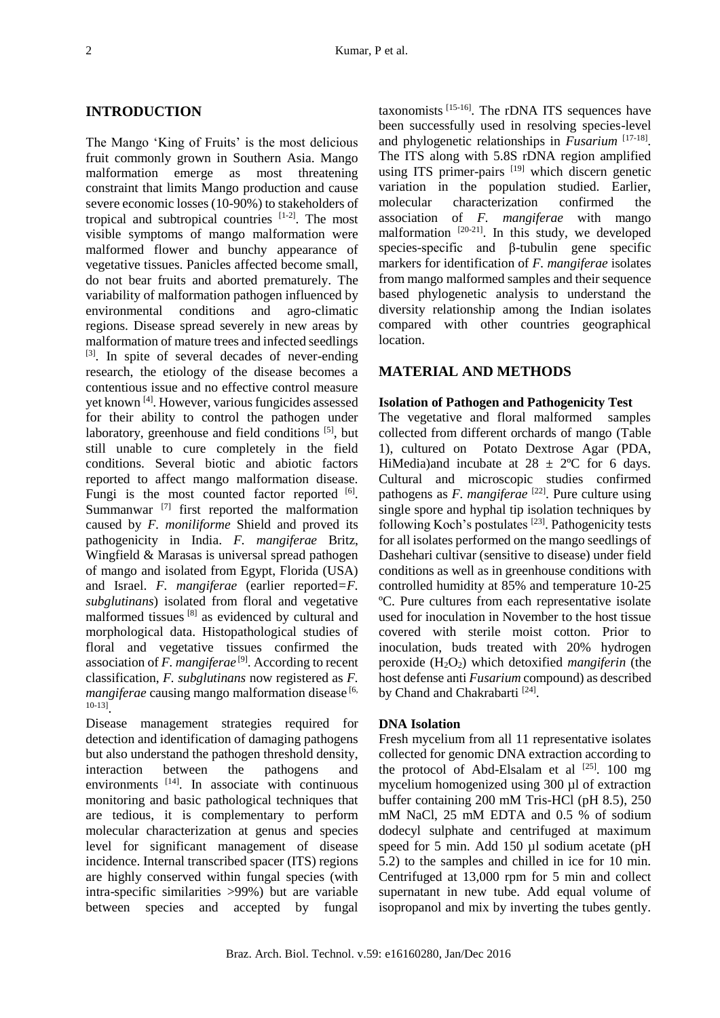# **INTRODUCTION**

The Mango 'King of Fruits' is the most delicious fruit commonly grown in Southern Asia. Mango malformation emerge as most threatening constraint that limits Mango production and cause severe economic losses (10-90%) to stakeholders of tropical and subtropical countries [1-2]. The most visible symptoms of mango malformation were malformed flower and bunchy appearance of vegetative tissues. Panicles affected become small, do not bear fruits and aborted prematurely. The variability of malformation pathogen influenced by environmental conditions and agro-climatic regions. Disease spread severely in new areas by malformation of mature trees and infected seedlings [3]. In spite of several decades of never-ending research, the etiology of the disease becomes a contentious issue and no effective control measure yet known [4]. However, various fungicides assessed for their ability to control the pathogen under laboratory, greenhouse and field conditions [5], but still unable to cure completely in the field conditions. Several biotic and abiotic factors reported to affect mango malformation disease. Fungi is the most counted factor reported [6]. Summanwar<sup> $[7]$ </sup> first reported the malformation caused by *F. moniliforme* Shield and proved its pathogenicity in India. *F. mangiferae* Britz, Wingfield & Marasas is universal spread pathogen of mango and isolated from Egypt, Florida (USA) and Israel. *F. mangiferae* (earlier reported*=F. subglutinans*) isolated from floral and vegetative malformed tissues [8] as evidenced by cultural and morphological data. Histopathological studies of floral and vegetative tissues confirmed the association of *F. mangiferae* [9]. According to recent classification, *F. subglutinans* now registered as *F. mangiferae* causing mango malformation disease [6, 10-13] .

Disease management strategies required for detection and identification of damaging pathogens but also understand the pathogen threshold density, interaction between the pathogens and environments [14]. In associate with continuous monitoring and basic pathological techniques that are tedious, it is complementary to perform molecular characterization at genus and species level for significant management of disease incidence. Internal transcribed spacer (ITS) regions are highly conserved within fungal species (with intra-specific similarities >99%) but are variable between species and accepted by fungal taxonomists [15-16]. The rDNA ITS sequences have been successfully used in resolving species-level and phylogenetic relationships in *Fusarium* [17-18]. The ITS along with 5.8S rDNA region amplified using ITS primer-pairs  $[19]$  which discern genetic variation in the population studied. Earlier, molecular characterization confirmed the association of *F. mangiferae* with mango malformation  $[20-21]$ . In this study, we developed species-specific and β-tubulin gene specific markers for identification of *F. mangiferae* isolates from mango malformed samples and their sequence based phylogenetic analysis to understand the diversity relationship among the Indian isolates compared with other countries geographical location.

# **MATERIAL AND METHODS**

#### **Isolation of Pathogen and Pathogenicity Test**

The vegetative and floral malformed samples collected from different orchards of mango (Table 1), cultured on Potato Dextrose Agar (PDA, HiMedia)and incubate at  $28 \pm 2$ °C for 6 days. Cultural and microscopic studies confirmed pathogens as *F. mangiferae* [22]. Pure culture using single spore and hyphal tip isolation techniques by following Koch's postulates [23]. Pathogenicity tests for all isolates performed on the mango seedlings of Dashehari cultivar (sensitive to disease) under field conditions as well as in greenhouse conditions with controlled humidity at 85% and temperature 10-25 ºC. Pure cultures from each representative isolate used for inoculation in November to the host tissue covered with sterile moist cotton. Prior to inoculation, buds treated with 20% hydrogen peroxide (H2O2) which detoxified *mangiferin* (the host defense anti *Fusarium* compound) as described by Chand and Chakrabarti<sup>[24]</sup>.

## **DNA Isolation**

Fresh mycelium from all 11 representative isolates collected for genomic DNA extraction according to the protocol of Abd-Elsalam et al  $^{[25]}$ . 100 mg mycelium homogenized using 300 µl of extraction buffer containing 200 mM Tris-HCl (pH 8.5), 250 mM NaCl, 25 mM EDTA and 0.5 % of sodium dodecyl sulphate and centrifuged at maximum speed for 5 min. Add 150 µl sodium acetate (pH 5.2) to the samples and chilled in ice for 10 min. Centrifuged at 13,000 rpm for 5 min and collect supernatant in new tube. Add equal volume of isopropanol and mix by inverting the tubes gently.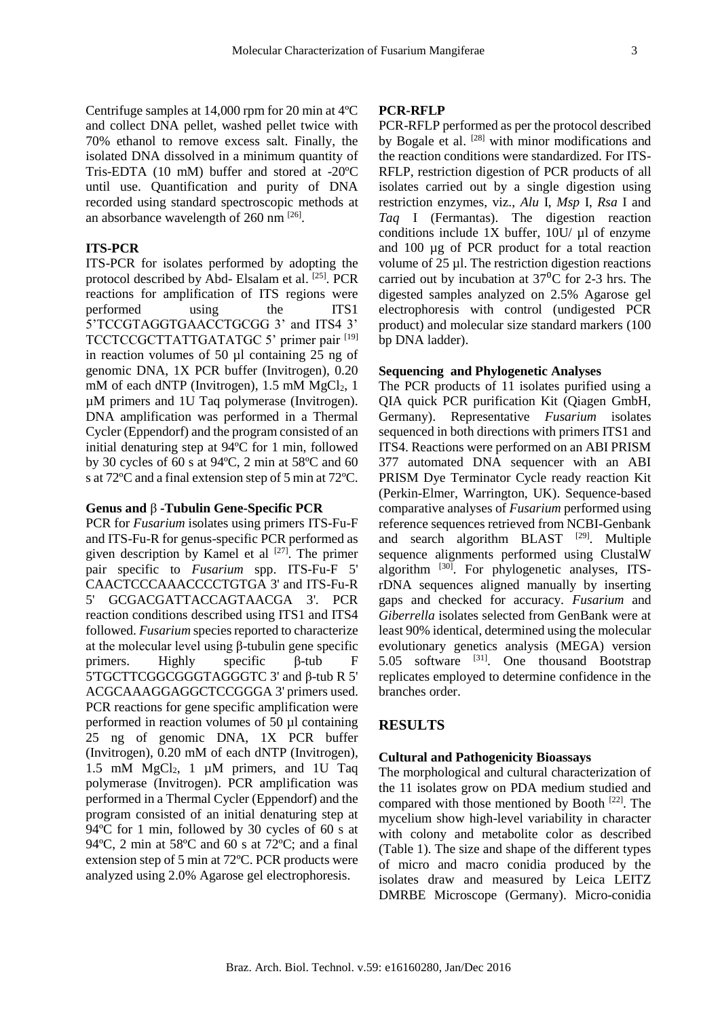Centrifuge samples at 14,000 rpm for 20 min at 4ºC and collect DNA pellet, washed pellet twice with 70% ethanol to remove excess salt. Finally, the isolated DNA dissolved in a minimum quantity of Tris-EDTA (10 mM) buffer and stored at -20ºC until use. Quantification and purity of DNA recorded using standard spectroscopic methods at an absorbance wavelength of  $260 \text{ nm}$  <sup>[26]</sup>.

# **ITS-PCR**

ITS-PCR for isolates performed by adopting the protocol described by Abd- Elsalam et al. <sup>[25]</sup>. PCR reactions for amplification of ITS regions were performed using the ITS1 5'TCCGTAGGTGAACCTGCGG 3' and ITS4 3' TCCTCCGCTTATTGATATGC 5' primer pair [19] in reaction volumes of 50 µl containing 25 ng of genomic DNA, 1X PCR buffer (Invitrogen), 0.20 mM of each dNTP (Invitrogen),  $1.5 \text{ mM } MgCl<sub>2</sub>$ , 1 µM primers and 1U Taq polymerase (Invitrogen). DNA amplification was performed in a Thermal Cycler (Eppendorf) and the program consisted of an initial denaturing step at 94ºC for 1 min, followed by 30 cycles of 60 s at 94ºC, 2 min at 58ºC and 60 s at 72ºC and a final extension step of 5 min at 72ºC.

#### **Genus and** β **-Tubulin Gene-Specific PCR**

PCR for *Fusarium* isolates using primers ITS-Fu-F and ITS-Fu-R for genus-specific PCR performed as given description by Kamel et al  $[27]$ . The primer pair specific to *Fusarium* spp. ITS-Fu-F 5' CAACTCCCAAACCCCTGTGA 3' and ITS-Fu-R 5' GCGACGATTACCAGTAACGA 3'. PCR reaction conditions described using ITS1 and ITS4 followed. *Fusarium* species reported to characterize at the molecular level using β-tubulin gene specific primers. Highly specific β-tub F 5'TGCTTCGGCGGGTAGGGTC 3' and β-tub R 5' ACGCAAAGGAGGCTCCGGGA 3' primers used. PCR reactions for gene specific amplification were performed in reaction volumes of 50 µl containing 25 ng of genomic DNA, 1X PCR buffer (Invitrogen), 0.20 mM of each dNTP (Invitrogen), 1.5 mM  $MgCl<sub>2</sub>$ , 1 µM primers, and 1U Taq polymerase (Invitrogen). PCR amplification was performed in a Thermal Cycler (Eppendorf) and the program consisted of an initial denaturing step at 94ºC for 1 min, followed by 30 cycles of 60 s at 94ºC, 2 min at 58ºC and 60 s at 72ºC; and a final extension step of 5 min at 72ºC. PCR products were analyzed using 2.0% Agarose gel electrophoresis.

#### **PCR-RFLP**

PCR-RFLP performed as per the protocol described by Bogale et al. <sup>[28]</sup> with minor modifications and the reaction conditions were standardized. For ITS-RFLP, restriction digestion of PCR products of all isolates carried out by a single digestion using restriction enzymes, viz., *Alu* I, *Msp* I, *Rsa* I and *Taq* I (Fermantas). The digestion reaction conditions include  $1X$  buffer,  $10U/\mu l$  of enzyme and 100 µg of PCR product for a total reaction volume of 25 µl. The restriction digestion reactions carried out by incubation at  $37^{\circ}$ C for 2-3 hrs. The digested samples analyzed on 2.5% Agarose gel electrophoresis with control (undigested PCR product) and molecular size standard markers (100 bp DNA ladder).

### **Sequencing and Phylogenetic Analyses**

The PCR products of 11 isolates purified using a QIA quick PCR purification Kit (Qiagen GmbH, Germany). Representative *Fusarium* isolates sequenced in both directions with primers ITS1 and ITS4. Reactions were performed on an ABI PRISM 377 automated DNA sequencer with an ABI PRISM Dye Terminator Cycle ready reaction Kit (Perkin-Elmer, Warrington, UK). Sequence-based comparative analyses of *Fusarium* performed using reference sequences retrieved from NCBI-Genbank and search algorithm  $BLAST$  [29]. Multiple sequence alignments performed using ClustalW algorithm [30]. For phylogenetic analyses, ITSrDNA sequences aligned manually by inserting gaps and checked for accuracy. *Fusarium* and *Giberrella* isolates selected from GenBank were at least 90% identical, determined using the molecular evolutionary genetics analysis (MEGA) version  $5.05$  software  $^{[31]}$ . One thousand Bootstrap replicates employed to determine confidence in the branches order.

# **RESULTS**

#### **Cultural and Pathogenicity Bioassays**

The morphological and cultural characterization of the 11 isolates grow on PDA medium studied and compared with those mentioned by Booth  $[22]$ . The mycelium show high-level variability in character with colony and metabolite color as described (Table 1). The size and shape of the different types of micro and macro conidia produced by the isolates draw and measured by Leica LEITZ DMRBE Microscope (Germany). Micro-conidia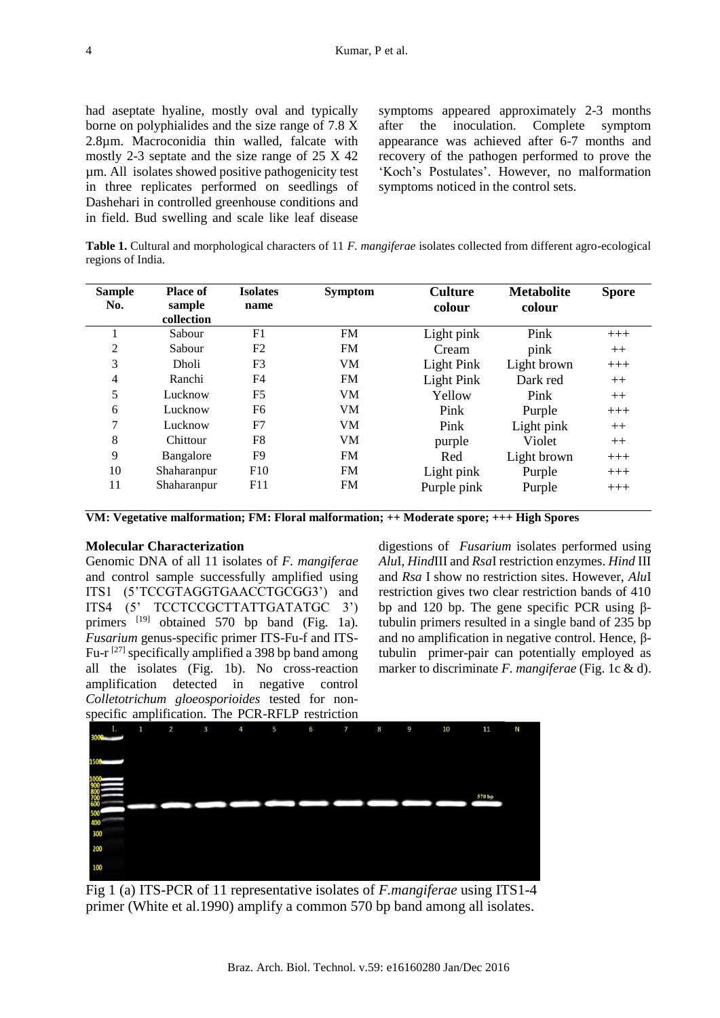had aseptate hyaline, mostly oval and typically borne on polyphialides and the size range of 7.8 X 2.8µm. Macroconidia thin walled, falcate with mostly 2-3 septate and the size range of 25 X 42 µm. All isolates showed positive pathogenicity test in three replicates performed on seedlings of Dashehari in controlled greenhouse conditions and in field. Bud swelling and scale like leaf disease

symptoms appeared approximately 2-3 months after the inoculation. Complete symptom appearance was achieved after 6-7 months and recovery of the pathogen performed to prove the 'Koch's Postulates'. However, no malformation symptoms noticed in the control sets.

**Table 1.** Cultural and morphological characters of 11 *F. mangiferae* isolates collected from different agro-ecological regions of India.

| <b>Sample</b> | <b>Place of</b> | <b>Isolates</b> | <b>Symptom</b> | <b>Culture</b> | <b>Metabolite</b> | <b>Spore</b> |
|---------------|-----------------|-----------------|----------------|----------------|-------------------|--------------|
| No.           | sample          | name            |                | colour         | colour            |              |
|               | collection      |                 |                |                |                   |              |
|               | Sabour          | F1              | <b>FM</b>      | Light pink     | Pink              | $+++$        |
| 2             | Sabour          | F2              | <b>FM</b>      | Cream          | pink              | $++$         |
| 3             | <b>Dholi</b>    | F3              | VM             | Light Pink     | Light brown       | $+++$        |
| 4             | Ranchi          | F4              | <b>FM</b>      | Light Pink     | Dark red          | $++$         |
| 5             | Lucknow         | F <sub>5</sub>  | <b>VM</b>      | Yellow         | Pink              | $++$         |
| 6             | Lucknow         | F6              | VM             | Pink           | Purple            | $+++$        |
| 7             | Lucknow         | F7              | VM             | Pink           | Light pink        | $++$         |
| 8             | Chittour        | F8              | VM             | purple         | Violet            | $++$         |
| 9             | Bangalore       | F <sub>9</sub>  | <b>FM</b>      | Red            | Light brown       | $+++$        |
| 10            | Shaharanpur     | F10             | <b>FM</b>      | Light pink     | Purple            | $+++$        |
| 11            | Shaharanpur     | F11             | <b>FM</b>      | Purple pink    | Purple            | $+++$        |

**VM: Vegetative malformation; FM: Floral malformation; ++ Moderate spore; +++ High Spores**

# **Molecular Characterization**

Genomic DNA of all 11 isolates of *F. mangiferae* and control sample successfully amplified using ITS1 (5'TCCGTAGGTGAACCTGCGG3') and ITS4 (5' TCCTCCGCTTATTGATATGC 3') primers <sup>[19]</sup> obtained 570 bp band (Fig. 1a). *Fusarium* genus-specific primer ITS-Fu-f and ITS-Fu-r  $^{[27]}$  specifically amplified a 398 bp band among all the isolates (Fig. 1b). No cross-reaction amplification detected in negative control *Colletotrichum gloeosporioides* tested for nonspecific amplification. The PCR-RFLP restriction

digestions of *Fusarium* isolates performed using *Alu*I, *Hind*III and *Rsa*I restriction enzymes. *Hind* III and *Rsa* I show no restriction sites. However, *Alu*I restriction gives two clear restriction bands of 410 bp and 120 bp. The gene specific PCR using βtubulin primers resulted in a single band of 235 bp and no amplification in negative control. Hence, βtubulin primer-pair can potentially employed as marker to discriminate *F. mangiferae* (Fig. 1c & d).

Fig 1 (a) ITS-PCR of 11 representative isolates of *F.mangiferae* using ITS1-4 primer (White et al.1990) amplify a common 570 bp band among all isolates.

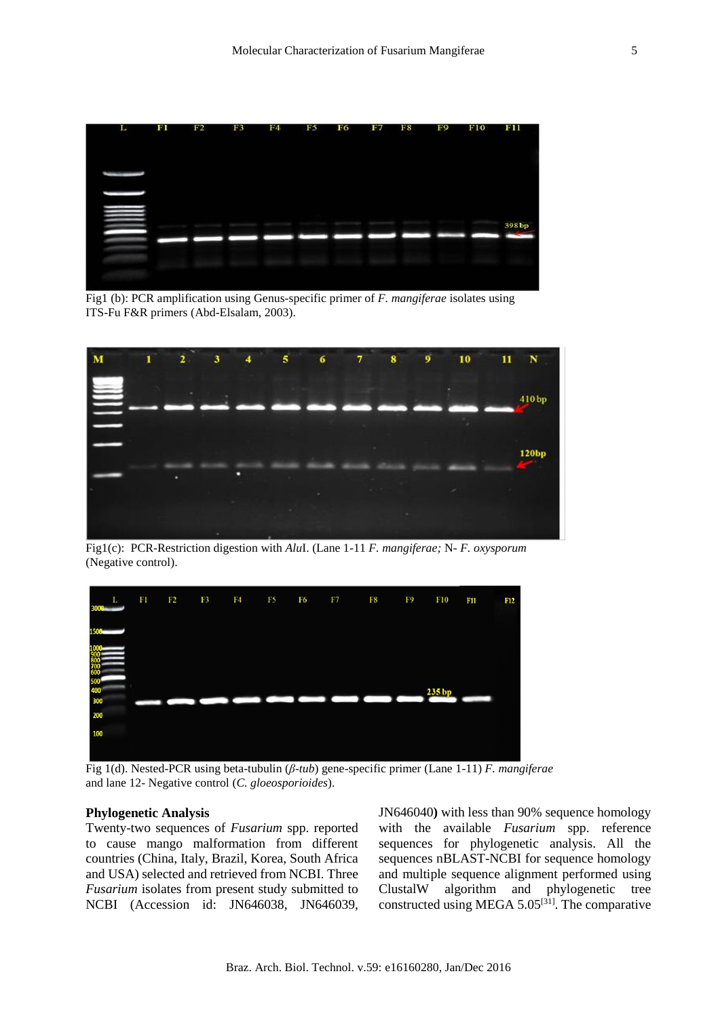

Fig1 (b): PCR amplification using Genus-specific primer of *F. mangiferae* isolates using ITS-Fu F&R primers (Abd-Elsalam, 2003).



Fig1(c): PCR-Restriction digestion with *Alu*I. (Lane 1-11 *F. mangiferae;* N*- F. oxysporum* (Negative control).



Fig 1(d). Nested-PCR using beta-tubulin (*β*-*tub*) gene-specific primer (Lane 1-11) *F. mangiferae* and lane 12- Negative control (*C. gloeosporioides*).

#### **Phylogenetic Analysis**

Twenty-two sequences of *Fusarium* spp. reported to cause mango malformation from different countries (China, Italy, Brazil, Korea, South Africa and USA) selected and retrieved from NCBI. Three *Fusarium* isolates from present study submitted to NCBI (Accession id: JN646038, JN646039, JN646040**)** with less than 90% sequence homology with the available *Fusarium* spp. reference sequences for phylogenetic analysis. All the sequences nBLAST-NCBI for sequence homology and multiple sequence alignment performed using ClustalW algorithm and phylogenetic tree constructed using MEGA 5.05[31]. The comparative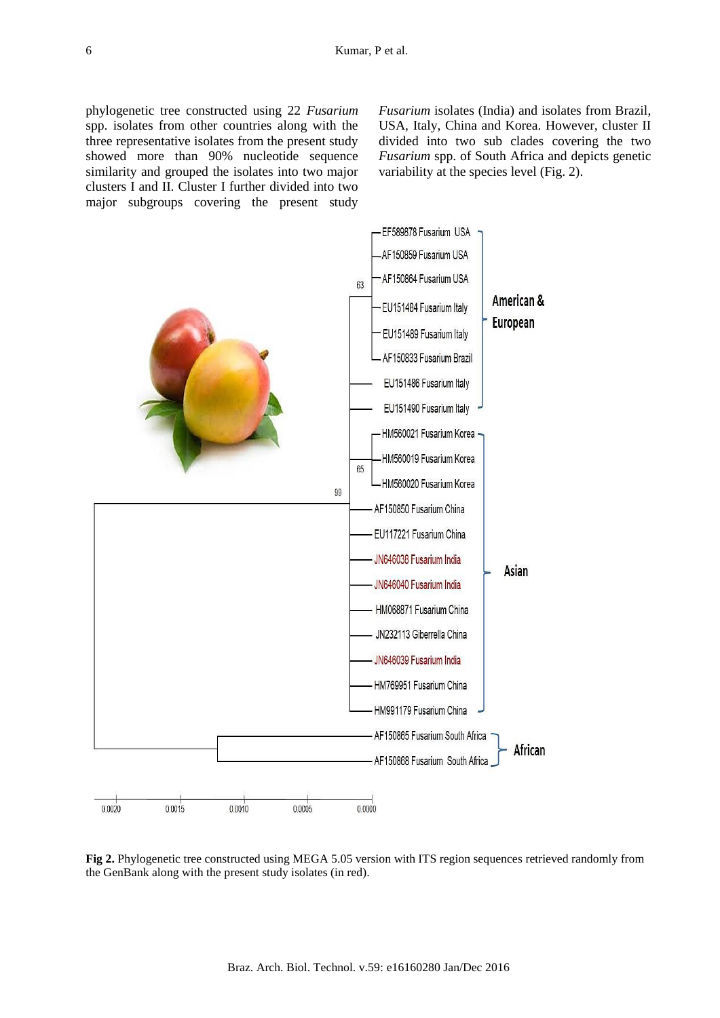phylogenetic tree constructed using 22 *Fusarium* spp. isolates from other countries along with the three representative isolates from the present study showed more than 90% nucleotide sequence similarity and grouped the isolates into two major clusters I and II. Cluster I further divided into two major subgroups covering the present study *Fusarium* isolates (India) and isolates from Brazil, USA, Italy, China and Korea. However, cluster II divided into two sub clades covering the two *Fusarium* spp. of South Africa and depicts genetic variability at the species level (Fig. 2).



**Fig 2.** Phylogenetic tree constructed using MEGA 5.05 version with ITS region sequences retrieved randomly from the GenBank along with the present study isolates (in red).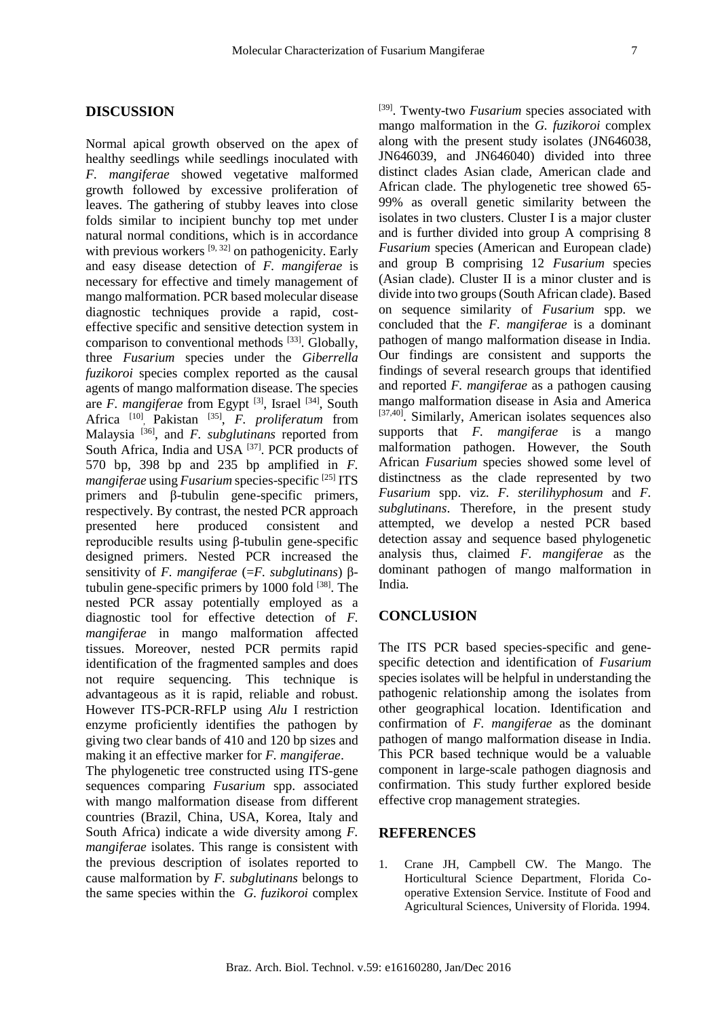#### **DISCUSSION**

Normal apical growth observed on the apex of healthy seedlings while seedlings inoculated with *F. mangiferae* showed vegetative malformed growth followed by excessive proliferation of leaves. The gathering of stubby leaves into close folds similar to incipient bunchy top met under natural normal conditions, which is in accordance with previous workers  $[9, 32]$  on pathogenicity. Early and easy disease detection of *F. mangiferae* is necessary for effective and timely management of mango malformation. PCR based molecular disease diagnostic techniques provide a rapid, costeffective specific and sensitive detection system in comparison to conventional methods  $[33]$ . Globally, three *Fusarium* species under the *Giberrella fuzikoroi* species complex reported as the causal agents of mango malformation disease. The species are *F. mangiferae* from Egypt<sup>[3]</sup>, Israel<sup>[34]</sup>, South Africa <sup>[10]</sup>, Pakistan <sup>[35]</sup>, *F. proliferatum* from Malaysia [36], and *F. subglutinans* reported from South Africa, India and USA <sup>[37]</sup>. PCR products of 570 bp, 398 bp and 235 bp amplified in *F. mangiferae* using *Fusarium* species-specific [25] ITS primers and β-tubulin gene-specific primers, respectively. By contrast, the nested PCR approach presented here produced consistent and reproducible results using β-tubulin gene-specific designed primers. Nested PCR increased the sensitivity of *F. mangiferae* (=*F. subglutinans*) βtubulin gene-specific primers by  $1000$  fold  $^{[38]}$ . The nested PCR assay potentially employed as a diagnostic tool for effective detection of *F. mangiferae* in mango malformation affected tissues. Moreover, nested PCR permits rapid identification of the fragmented samples and does not require sequencing. This technique is advantageous as it is rapid, reliable and robust. However ITS-PCR-RFLP using *Alu* I restriction enzyme proficiently identifies the pathogen by giving two clear bands of 410 and 120 bp sizes and making it an effective marker for *F. mangiferae*.

The phylogenetic tree constructed using ITS-gene sequences comparing *Fusarium* spp. associated with mango malformation disease from different countries (Brazil, China, USA, Korea, Italy and South Africa) indicate a wide diversity among *F. mangiferae* isolates. This range is consistent with the previous description of isolates reported to cause malformation by *F. subglutinans* belongs to the same species within the *G. fuzikoroi* complex [39]. Twenty-two *Fusarium* species associated with mango malformation in the *G. fuzikoroi* complex along with the present study isolates (JN646038, JN646039, and JN646040) divided into three distinct clades Asian clade, American clade and African clade. The phylogenetic tree showed 65- 99% as overall genetic similarity between the isolates in two clusters. Cluster I is a major cluster and is further divided into group A comprising 8 *Fusarium* species (American and European clade) and group B comprising 12 *Fusarium* species (Asian clade). Cluster II is a minor cluster and is divide into two groups (South African clade). Based on sequence similarity of *Fusarium* spp. we concluded that the *F. mangiferae* is a dominant pathogen of mango malformation disease in India. Our findings are consistent and supports the findings of several research groups that identified and reported *F. mangiferae* as a pathogen causing mango malformation disease in Asia and America [37,40]. Similarly, American isolates sequences also supports that *F. mangiferae* is a mango malformation pathogen. However, the South African *Fusarium* species showed some level of distinctness as the clade represented by two *Fusarium* spp. viz. *F. sterilihyphosum* and *F. subglutinans*. Therefore, in the present study attempted, we develop a nested PCR based detection assay and sequence based phylogenetic analysis thus, claimed *F. mangiferae* as the dominant pathogen of mango malformation in India*.*

# **CONCLUSION**

The ITS PCR based species-specific and genespecific detection and identification of *Fusarium* species isolates will be helpful in understanding the pathogenic relationship among the isolates from other geographical location. Identification and confirmation of *F. mangiferae* as the dominant pathogen of mango malformation disease in India. This PCR based technique would be a valuable component in large-scale pathogen diagnosis and confirmation. This study further explored beside effective crop management strategies.

# **REFERENCES**

1. Crane JH, Campbell CW. The Mango. The Horticultural Science Department, Florida Cooperative Extension Service. Institute of Food and Agricultural Sciences, University of Florida. 1994.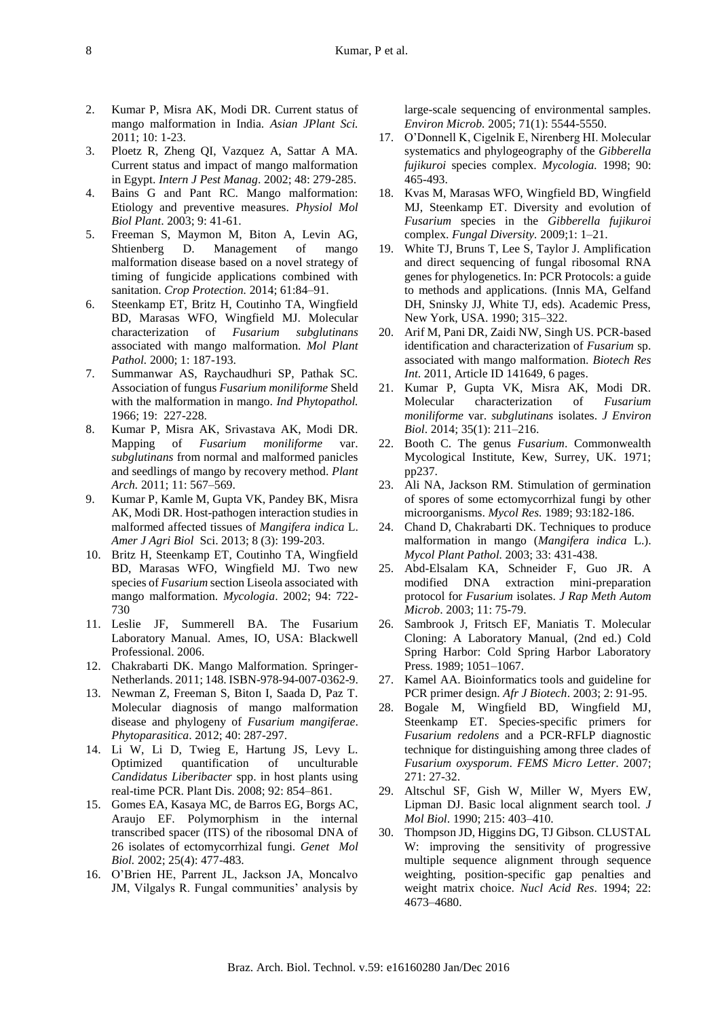- 2. Kumar P, Misra AK, Modi DR. Current status of mango malformation in India. *Asian JPlant Sci.* 2011; 10: 1-23.
- 3. Ploetz R, Zheng QI, Vazquez A, Sattar A MA. Current status and impact of mango malformation in Egypt. *Intern J Pest Manag*. 2002; 48: 279-285.
- 4. Bains G and Pant RC. Mango malformation: Etiology and preventive measures. *Physiol Mol Biol Plant*. 2003; 9: 41-61.
- 5. Freeman S, Maymon M, Biton A, Levin AG, Shtienberg D. Management of mango malformation disease based on a novel strategy of timing of fungicide applications combined with sanitation. *Crop Protection.* 2014; 61:84–91.
- 6. Steenkamp ET, Britz H, Coutinho TA, Wingfield BD, Marasas WFO, Wingfield MJ. Molecular characterization of *Fusarium subglutinans* associated with mango malformation. *Mol Plant Pathol.* 2000; 1: 187-193.
- 7. Summanwar AS, Raychaudhuri SP, Pathak SC. Association of fungus *Fusarium moniliforme* Sheld with the malformation in mango. *Ind Phytopathol.* 1966; 19: 227-228.
- 8. Kumar P, Misra AK, Srivastava AK, Modi DR. Mapping of *Fusarium moniliforme* var. *subglutinans* from normal and malformed panicles and seedlings of mango by recovery method. *Plant Arch.* 2011; 11: 567–569.
- 9. Kumar P, Kamle M, Gupta VK, Pandey BK, Misra AK, Modi DR. Host-pathogen interaction studies in malformed affected tissues of *Mangifera indica* L. *Amer J Agri Biol* Sci. 2013; 8 (3): 199-203.
- 10. Britz H, Steenkamp ET, Coutinho TA, Wingfield BD, Marasas WFO, Wingfield MJ. Two new species of *Fusarium* section Liseola associated with mango malformation. *Mycologia*. 2002; 94: 722- 730
- 11. Leslie JF, Summerell BA. The Fusarium Laboratory Manual. Ames, IO, USA: Blackwell Professional. 2006.
- 12. Chakrabarti DK. Mango Malformation. Springer-Netherlands. 2011; 148. ISBN-978-94-007-0362-9.
- 13. Newman Z, Freeman S, Biton I, Saada D, Paz T. Molecular diagnosis of mango malformation disease and phylogeny of *Fusarium mangiferae*. *Phytoparasitica*. 2012; 40: 287-297.
- 14. Li W, Li D, Twieg E, Hartung JS, Levy L. Optimized quantification of unculturable *Candidatus Liberibacter* spp. in host plants using real-time PCR. Plant Dis. 2008; 92: 854–861.
- 15. Gomes EA, Kasaya MC, de Barros EG, Borgs AC, Araujo EF. Polymorphism in the internal transcribed spacer (ITS) of the ribosomal DNA of 26 isolates of ectomycorrhizal fungi. *Genet Mol Biol.* 2002; 25(4): 477-483.
- 16. O'Brien HE, Parrent JL, Jackson JA, Moncalvo JM, Vilgalys R. Fungal communities' analysis by

large-scale sequencing of environmental samples. *Environ Microb.* 2005; 71(1): 5544-5550.

- 17. O'Donnell K, Cigelnik E, Nirenberg HI. Molecular systematics and phylogeography of the *Gibberella fujikuroi* species complex. *Mycologia.* 1998; 90: 465-493.
- 18. Kvas M, Marasas WFO, Wingfield BD, Wingfield MJ, Steenkamp ET. Diversity and evolution of *Fusarium* species in the *Gibberella fujikuroi* complex. *Fungal Diversity.* 2009;1: 1–21.
- 19. White TJ, Bruns T, Lee S, Taylor J. Amplification and direct sequencing of fungal ribosomal RNA genes for phylogenetics. In: PCR Protocols: a guide to methods and applications. (Innis MA, Gelfand DH, Sninsky JJ, White TJ, eds). Academic Press, New York, USA. 1990; 315–322.
- 20. Arif M, Pani DR, Zaidi NW, Singh US. PCR-based identification and characterization of *Fusarium* sp. associated with mango malformation. *Biotech Res Int*. 2011, Article ID 141649, 6 pages.
- 21. Kumar P, Gupta VK, Misra AK, Modi DR. Molecular characterization of *Fusarium moniliforme* var. *subglutinans* isolates. *J Environ Biol*. 2014; 35(1): 211–216.
- 22. Booth C. The genus *Fusarium*. Commonwealth Mycological Institute, Kew, Surrey, UK. 1971; pp237.
- 23. Ali NA, Jackson RM. Stimulation of germination of spores of some ectomycorrhizal fungi by other microorganisms. *Mycol Res.* 1989; 93:182-186.
- 24. Chand D, Chakrabarti DK. Techniques to produce malformation in mango (*Mangifera indica* L.). *Mycol Plant Pathol.* 2003; 33: 431-438.
- 25. Abd-Elsalam KA, Schneider F, Guo JR. A modified DNA extraction mini-preparation protocol for *Fusarium* isolates. *J Rap Meth Autom Microb*. 2003; 11: 75-79.
- 26. Sambrook J, Fritsch EF, Maniatis T. Molecular Cloning: A Laboratory Manual, (2nd ed.) Cold Spring Harbor: Cold Spring Harbor Laboratory Press. 1989; 1051–1067.
- 27. Kamel AA. Bioinformatics tools and guideline for PCR primer design. *Afr J Biotech*. 2003; 2: 91-95.
- 28. Bogale M, Wingfield BD, Wingfield MJ, Steenkamp ET. Species-specific primers for *Fusarium redolens* and a PCR-RFLP diagnostic technique for distinguishing among three clades of *Fusarium oxysporum*. *FEMS Micro Letter*. 2007; 271: 27-32.
- 29. Altschul SF, Gish W, Miller W, Myers EW, Lipman DJ. Basic local alignment search tool. *J Mol Biol*. 1990; 215: 403–410.
- 30. Thompson JD, Higgins DG, TJ Gibson. CLUSTAL W: improving the sensitivity of progressive multiple sequence alignment through sequence weighting, position-specific gap penalties and weight matrix choice. *Nucl Acid Res*. 1994; 22: 4673–4680.